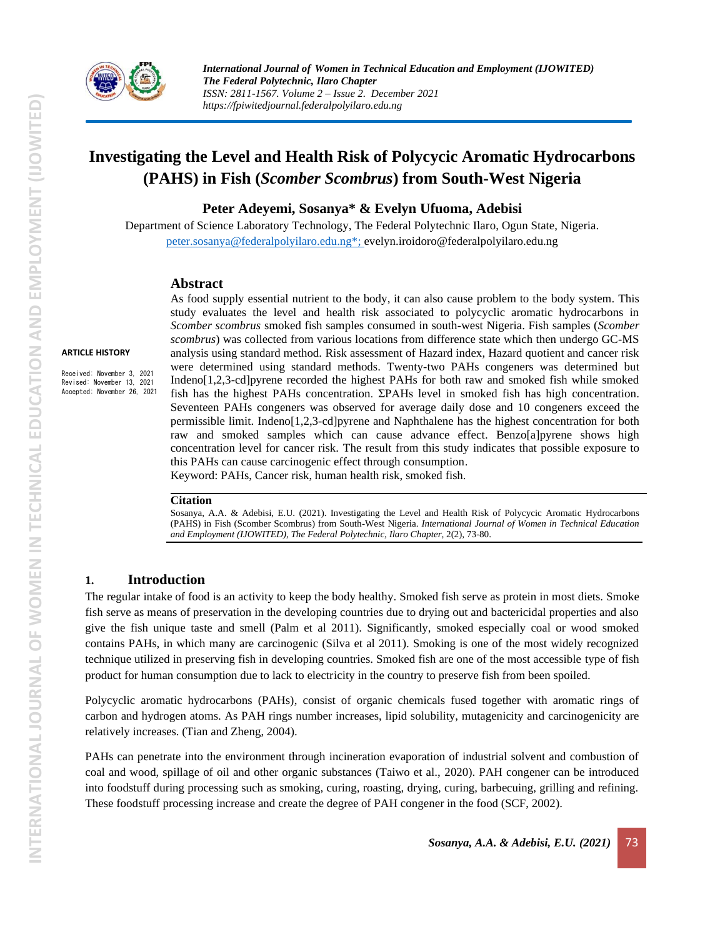

# **Investigating the Level and Health Risk of Polycycic Aromatic Hydrocarbons (PAHS) in Fish (***Scomber Scombrus***) from South-West Nigeria**

**Peter Adeyemi, Sosanya\* & Evelyn Ufuoma, Adebisi**

Department of Science Laboratory Technology, The Federal Polytechnic Ilaro, Ogun State, Nigeria. [peter.sosanya@federalpolyilaro.edu.ng\\*;](mailto:peter.sosanya@federalpolyilaro.edu.ng*) evelyn.iroidoro@federalpolyilaro.edu.ng

#### **Abstract**

#### **ARTICLE HISTORY**

Received: November 3, 2021 Revised: November 13, 2021 Accepted: November 26, 2021 As food supply essential nutrient to the body, it can also cause problem to the body system. This study evaluates the level and health risk associated to polycyclic aromatic hydrocarbons in *Scomber scombrus* smoked fish samples consumed in south-west Nigeria. Fish samples (*Scomber scombrus*) was collected from various locations from difference state which then undergo GC-MS analysis using standard method. Risk assessment of Hazard index, Hazard quotient and cancer risk were determined using standard methods. Twenty-two PAHs congeners was determined but Indeno[1,2,3-cd]pyrene recorded the highest PAHs for both raw and smoked fish while smoked fish has the highest PAHs concentration. ΣPAHs level in smoked fish has high concentration. Seventeen PAHs congeners was observed for average daily dose and 10 congeners exceed the permissible limit. Indeno[1,2,3-cd]pyrene and Naphthalene has the highest concentration for both raw and smoked samples which can cause advance effect. Benzo[a]pyrene shows high concentration level for cancer risk. The result from this study indicates that possible exposure to this PAHs can cause carcinogenic effect through consumption. Keyword: PAHs, Cancer risk, human health risk, smoked fish.

#### **Citation**

Sosanya, A.A. & Adebisi, E.U. (2021). Investigating the Level and Health Risk of Polycycic Aromatic Hydrocarbons (PAHS) in Fish (Scomber Scombrus) from South-West Nigeria. *International Journal of Women in Technical Education and Employment (IJOWITED), The Federal Polytechnic, Ilaro Chapter*, 2(2), 73-80.

### **1. Introduction**

The regular intake of food is an activity to keep the body healthy. Smoked fish serve as protein in most diets. Smoke fish serve as means of preservation in the developing countries due to drying out and bactericidal properties and also give the fish unique taste and smell (Palm et al 2011). Significantly, smoked especially coal or wood smoked contains PAHs, in which many are carcinogenic (Silva et al 2011). Smoking is one of the most widely recognized technique utilized in preserving fish in developing countries. Smoked fish are one of the most accessible type of fish product for human consumption due to lack to electricity in the country to preserve fish from been spoiled.

Polycyclic aromatic hydrocarbons (PAHs), consist of organic chemicals fused together with aromatic rings of carbon and hydrogen atoms. As PAH rings number increases, lipid solubility, mutagenicity and carcinogenicity are relatively increases. (Tian and Zheng, 2004).

PAHs can penetrate into the environment through incineration evaporation of industrial solvent and combustion of coal and wood, spillage of oil and other organic substances (Taiwo et al., 2020). PAH congener can be introduced into foodstuff during processing such as smoking, curing, roasting, drying, curing, barbecuing, grilling and refining. These foodstuff processing increase and create the degree of PAH congener in the food (SCF, 2002).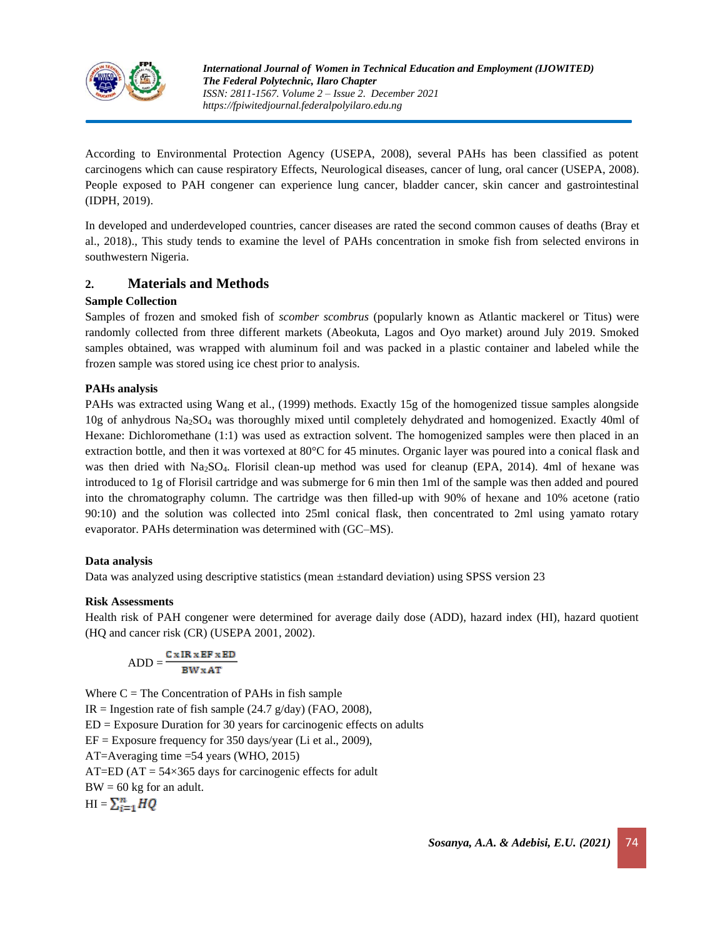

According to Environmental Protection Agency (USEPA, 2008), several PAHs has been classified as potent carcinogens which can cause respiratory Effects, Neurological diseases, cancer of lung, oral cancer (USEPA, 2008). People exposed to PAH congener can experience lung cancer, bladder cancer, skin cancer and gastrointestinal (IDPH, 2019).

In developed and underdeveloped countries, cancer diseases are rated the second common causes of deaths (Bray et al., 2018)., This study tends to examine the level of PAHs concentration in smoke fish from selected environs in southwestern Nigeria.

## **2. Materials and Methods**

#### **Sample Collection**

Samples of frozen and smoked fish of *scomber scombrus* (popularly known as Atlantic mackerel or Titus) were randomly collected from three different markets (Abeokuta, Lagos and Oyo market) around July 2019. Smoked samples obtained, was wrapped with aluminum foil and was packed in a plastic container and labeled while the frozen sample was stored using ice chest prior to analysis.

#### **PAHs analysis**

PAHs was extracted using Wang et al., (1999) methods. Exactly 15g of the homogenized tissue samples alongside 10g of anhydrous Na2SO<sup>4</sup> was thoroughly mixed until completely dehydrated and homogenized. Exactly 40ml of Hexane: Dichloromethane (1:1) was used as extraction solvent. The homogenized samples were then placed in an extraction bottle, and then it was vortexed at 80°C for 45 minutes. Organic layer was poured into a conical flask and was then dried with Na<sub>2</sub>SO<sub>4</sub>. Florisil clean-up method was used for cleanup (EPA, 2014). 4ml of hexane was introduced to 1g of Florisil cartridge and was submerge for 6 min then 1ml of the sample was then added and poured into the chromatography column. The cartridge was then filled-up with 90% of hexane and 10% acetone (ratio 90:10) and the solution was collected into 25ml conical flask, then concentrated to 2ml using yamato rotary evaporator. PAHs determination was determined with (GC–MS).

#### **Data analysis**

Data was analyzed using descriptive statistics (mean ±standard deviation) using SPSS version 23

#### **Risk Assessments**

Health risk of PAH congener were determined for average daily dose (ADD), hazard index (HI), hazard quotient (HQ and cancer risk (CR) (USEPA 2001, 2002).

$$
ADD = \frac{C \times IR \times EF \times ED}{BW \times AT}
$$

Where  $C =$  The Concentration of PAHs in fish sample IR = Ingestion rate of fish sample  $(24.7 \text{ g/day})$  (FAO, 2008),  $ED = Exposure$  Duration for 30 years for carcinogenic effects on adults EF = Exposure frequency for 350 days/year (Li et al., 2009), AT=Averaging time =54 years (WHO, 2015) AT=ED ( $AT = 54 \times 365$  days for carcinogenic effects for adult  $BW = 60$  kg for an adult.  $HI = \sum_{i=1}^{n} HQ$ 

*Sosanya, A.A. & Adebisi, E.U. (2021)* 74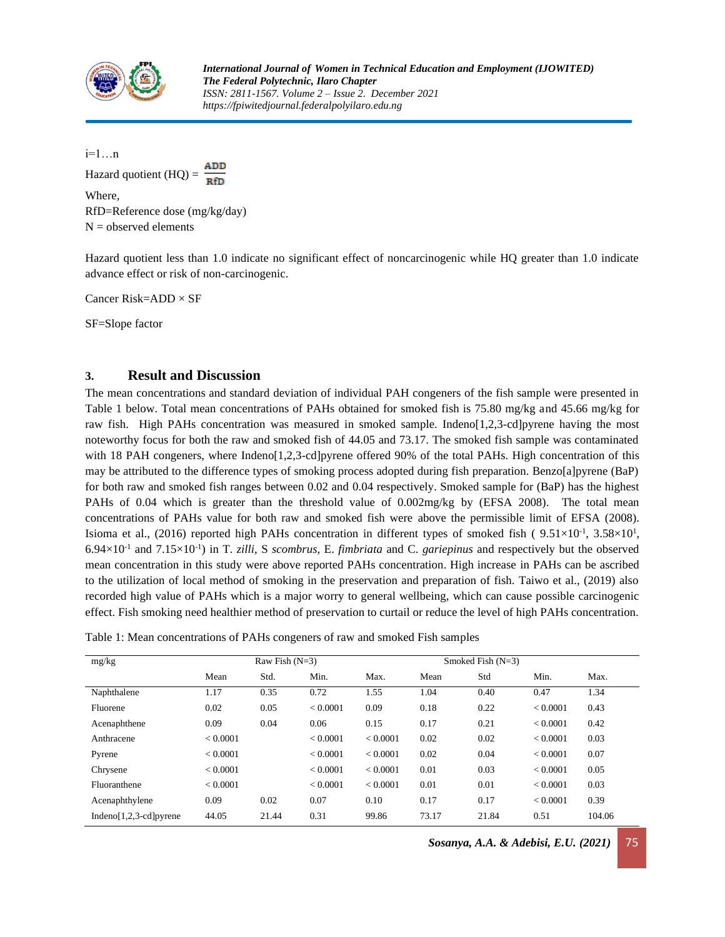

i=1…n Hazard quotient  $(HQ)$  = Where, RfD=Reference dose (mg/kg/day)  $N =$  observed elements

Hazard quotient less than 1.0 indicate no significant effect of noncarcinogenic while HQ greater than 1.0 indicate advance effect or risk of non-carcinogenic.

Cancer Risk=ADD × SF

SF=Slope factor

### **3. Result and Discussion**

The mean concentrations and standard deviation of individual PAH congeners of the fish sample were presented in Table 1 below. Total mean concentrations of PAHs obtained for smoked fish is 75.80 mg/kg and 45.66 mg/kg for raw fish. High PAHs concentration was measured in smoked sample. Indeno[1,2,3-cd]pyrene having the most noteworthy focus for both the raw and smoked fish of 44.05 and 73.17. The smoked fish sample was contaminated with 18 PAH congeners, where Indeno[1,2,3-cd]pyrene offered 90% of the total PAHs. High concentration of this may be attributed to the difference types of smoking process adopted during fish preparation. Benzo[a]pyrene (BaP) for both raw and smoked fish ranges between 0.02 and 0.04 respectively. Smoked sample for (BaP) has the highest PAHs of 0.04 which is greater than the threshold value of 0.002mg/kg by (EFSA 2008). The total mean concentrations of PAHs value for both raw and smoked fish were above the permissible limit of EFSA (2008). Isioma et al., (2016) reported high PAHs concentration in different types of smoked fish (9.51×10<sup>-1</sup>, 3.58×10<sup>1</sup>,  $6.94 \times 10^{-1}$  and  $7.15 \times 10^{-1}$ ) in T. *zilli*, S *scombrus*, E. *fimbriata* and C. *gariepinus* and respectively but the observed mean concentration in this study were above reported PAHs concentration. High increase in PAHs can be ascribed to the utilization of local method of smoking in the preservation and preparation of fish. Taiwo et al., (2019) also recorded high value of PAHs which is a major worry to general wellbeing, which can cause possible carcinogenic effect. Fish smoking need healthier method of preservation to curtail or reduce the level of high PAHs concentration.

| Table 1: Mean concentrations of PAHs congeners of raw and smoked Fish samples |  |
|-------------------------------------------------------------------------------|--|
|                                                                               |  |
|                                                                               |  |

| mg/kg                       |          | Raw Fish $(N=3)$ |          |          | Smoked Fish $(N=3)$ |       |          |        |
|-----------------------------|----------|------------------|----------|----------|---------------------|-------|----------|--------|
|                             | Mean     | Std.             | Min.     | Max.     | Mean                | Std   | Min.     | Max.   |
| Naphthalene                 | 1.17     | 0.35             | 0.72     | 1.55     | 1.04                | 0.40  | 0.47     | 1.34   |
| Fluorene                    | 0.02     | 0.05             | < 0.0001 | 0.09     | 0.18                | 0.22  | < 0.0001 | 0.43   |
| Acenaphthene                | 0.09     | 0.04             | 0.06     | 0.15     | 0.17                | 0.21  | < 0.0001 | 0.42   |
| Anthracene                  | < 0.0001 |                  | < 0.0001 | < 0.0001 | 0.02                | 0.02  | < 0.0001 | 0.03   |
| Pyrene                      | < 0.0001 |                  | < 0.0001 | < 0.0001 | 0.02                | 0.04  | < 0.0001 | 0.07   |
| Chrysene                    | < 0.0001 |                  | < 0.0001 | < 0.0001 | 0.01                | 0.03  | < 0.0001 | 0.05   |
| Fluoranthene                | < 0.0001 |                  | < 0.0001 | < 0.0001 | 0.01                | 0.01  | < 0.0001 | 0.03   |
| Acenaphthylene              | 0.09     | 0.02             | 0.07     | 0.10     | 0.17                | 0.17  | < 0.0001 | 0.39   |
| Indeno[ $1,2,3$ -cd] pyrene | 44.05    | 21.44            | 0.31     | 99.86    | 73.17               | 21.84 | 0.51     | 104.06 |

*Sosanya, A.A. & Adebisi, E.U. (2021)* 75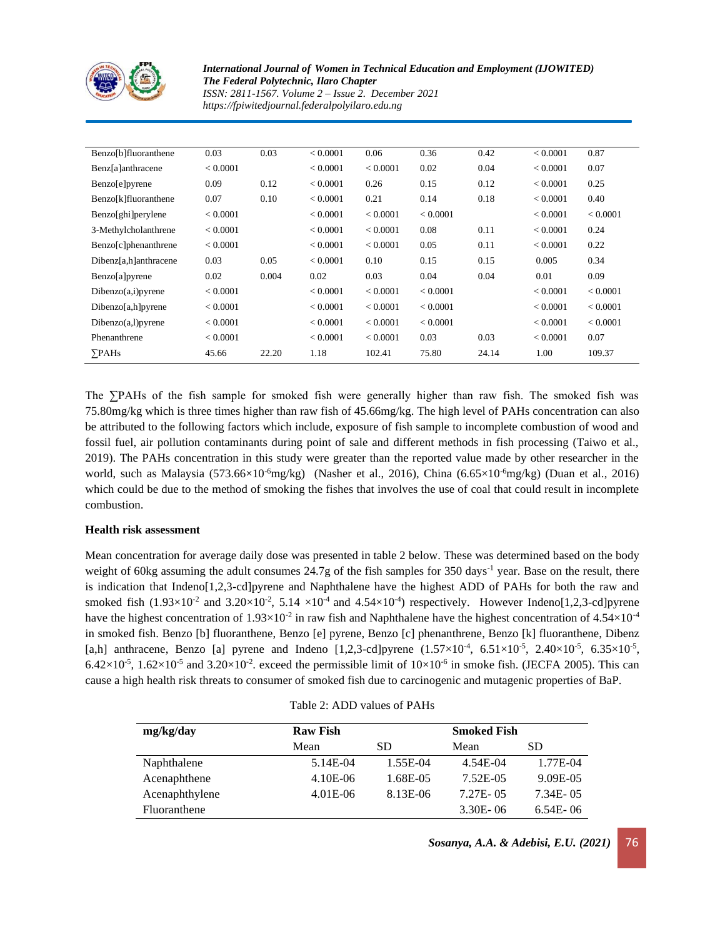

*International Journal of Women in Technical Education and Employment (IJOWITED) The Federal Polytechnic, Ilaro Chapter ISSN: 2811-1567. Volume 2 – Issue 2. December 2021*

*https://fpiwitedjournal.federalpolyilaro.edu.ng*

| Benzo[b]fluoranthene  | 0.03     | 0.03  | < 0.0001 | 0.06     | 0.36     | 0.42  | < 0.0001 | 0.87     |
|-----------------------|----------|-------|----------|----------|----------|-------|----------|----------|
| Benz[a]anthracene     | < 0.0001 |       | < 0.0001 | < 0.0001 | 0.02     | 0.04  | < 0.0001 | 0.07     |
| Benzo[e]pyrene        | 0.09     | 0.12  | < 0.0001 | 0.26     | 0.15     | 0.12  | < 0.0001 | 0.25     |
| Benzo[k]fluoranthene  | 0.07     | 0.10  | < 0.0001 | 0.21     | 0.14     | 0.18  | < 0.0001 | 0.40     |
| Benzo[ghi]perylene    | < 0.0001 |       | < 0.0001 | < 0.0001 | < 0.0001 |       | < 0.0001 | < 0.0001 |
| 3-Methylcholanthrene  | < 0.0001 |       | < 0.0001 | < 0.0001 | 0.08     | 0.11  | < 0.0001 | 0.24     |
| Benzo[c]phenanthrene  | < 0.0001 |       | < 0.0001 | < 0.0001 | 0.05     | 0.11  | < 0.0001 | 0.22     |
| Dibenz[a,h]anthracene | 0.03     | 0.05  | < 0.0001 | 0.10     | 0.15     | 0.15  | 0.005    | 0.34     |
| Benzo[a]pyrene        | 0.02     | 0.004 | 0.02     | 0.03     | 0.04     | 0.04  | 0.01     | 0.09     |
| Dibenzo(a,i)pyrene    | < 0.0001 |       | < 0.0001 | < 0.0001 | < 0.0001 |       | < 0.0001 | < 0.0001 |
| Dibenzo[a,h]pyrene    | < 0.0001 |       | < 0.0001 | < 0.0001 | < 0.0001 |       | < 0.0001 | < 0.0001 |
| Dibenzo(a, l)pyrene   | < 0.0001 |       | < 0.0001 | < 0.0001 | < 0.0001 |       | < 0.0001 | < 0.0001 |
| Phenanthrene          | < 0.0001 |       | < 0.0001 | < 0.0001 | 0.03     | 0.03  | < 0.0001 | 0.07     |
| $\sum$ PAHs           | 45.66    | 22.20 | 1.18     | 102.41   | 75.80    | 24.14 | 1.00     | 109.37   |

The ∑PAHs of the fish sample for smoked fish were generally higher than raw fish. The smoked fish was 75.80mg/kg which is three times higher than raw fish of 45.66mg/kg. The high level of PAHs concentration can also be attributed to the following factors which include, exposure of fish sample to incomplete combustion of wood and fossil fuel, air pollution contaminants during point of sale and different methods in fish processing (Taiwo et al., 2019). The PAHs concentration in this study were greater than the reported value made by other researcher in the world, such as Malaysia  $(573.66\times10^{-6}$ mg/kg) (Nasher et al., 2016), China  $(6.65\times10^{-6}$ mg/kg) (Duan et al., 2016) which could be due to the method of smoking the fishes that involves the use of coal that could result in incomplete combustion.

#### **Health risk assessment**

Mean concentration for average daily dose was presented in table 2 below. These was determined based on the body weight of 60kg assuming the adult consumes 24.7g of the fish samples for 350 days<sup>-1</sup> year. Base on the result, there is indication that Indeno[1,2,3-cd]pyrene and Naphthalene have the highest ADD of PAHs for both the raw and smoked fish  $(1.93 \times 10^{-2}$  and  $3.20 \times 10^{-2}$ ,  $5.14 \times 10^{-4}$  and  $4.54 \times 10^{-4}$ ) respectively. However Indeno[1,2,3-cd]pyrene have the highest concentration of  $1.93 \times 10^{-2}$  in raw fish and Naphthalene have the highest concentration of 4.54×10<sup>-4</sup> in smoked fish. Benzo [b] fluoranthene, Benzo [e] pyrene, Benzo [c] phenanthrene, Benzo [k] fluoranthene, Dibenz [a,h] anthracene, Benzo [a] pyrene and Indeno [1,2,3-cd]pyrene  $(1.57 \times 10^{-4}, 6.51 \times 10^{-5}, 2.40 \times 10^{-5}, 6.35 \times 10^{-5},$  $6.42\times10^{-5}$ ,  $1.62\times10^{-5}$  and  $3.20\times10^{-2}$ . exceed the permissible limit of  $10\times10^{-6}$  in smoke fish. (JECFA 2005). This can cause a high health risk threats to consumer of smoked fish due to carcinogenic and mutagenic properties of BaP.

|  |  |  | Table 2: ADD values of PAHs |
|--|--|--|-----------------------------|
|--|--|--|-----------------------------|

| mg/kg/day      | <b>Raw Fish</b> |          | <b>Smoked Fish</b> |               |  |
|----------------|-----------------|----------|--------------------|---------------|--|
|                | Mean            | SD.      | Mean               | SD            |  |
| Naphthalene    | 5.14E-04        | 1.55E-04 | 4.54E-04           | 1.77E-04      |  |
| Acenaphthene   | 4.10E-06        | 1.68E-05 | 7.52E-05           | 9.09E-05      |  |
| Acenaphthylene | $4.01E-06$      | 8.13E-06 | $7.27E - 0.5$      | $7.34E - 0.5$ |  |
| Fluoranthene   |                 |          | $3.30E - 06$       | $6.54E - 06$  |  |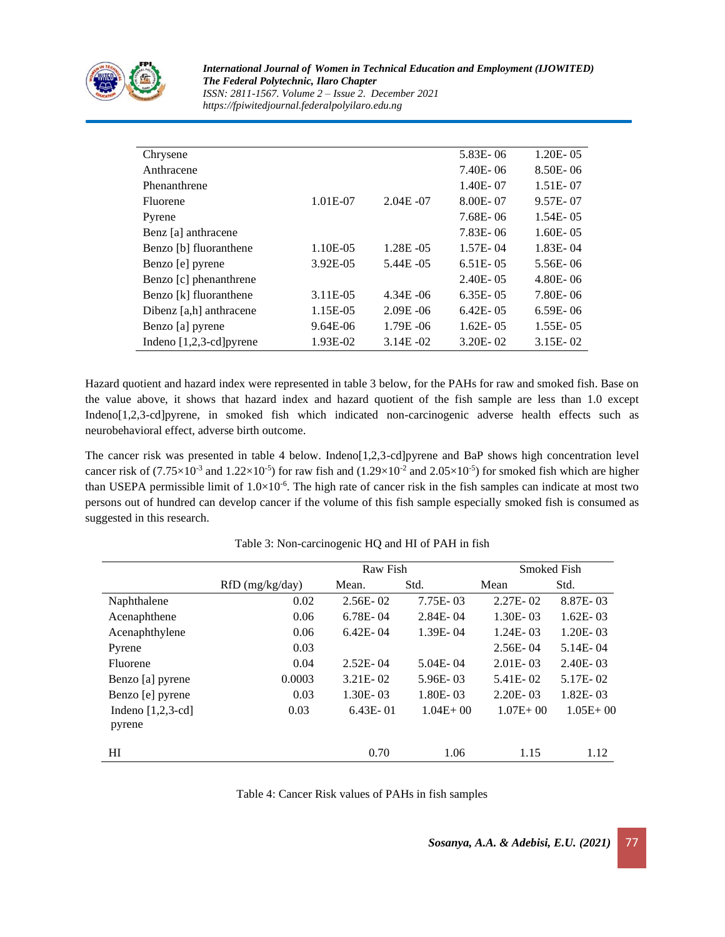

*International Journal of Women in Technical Education and Employment (IJOWITED) The Federal Polytechnic, Ilaro Chapter ISSN: 2811-1567. Volume 2 – Issue 2. December 2021 https://fpiwitedjournal.federalpolyilaro.edu.ng*

| Chrysene                          |          |               | 5.83E-06      | $1.20E - 05$  |
|-----------------------------------|----------|---------------|---------------|---------------|
| Anthracene                        |          |               | $7.40E - 06$  | $8.50E - 06$  |
| Phenanthrene                      |          |               | 1.40E-07      | $1.51E - 07$  |
| Fluorene                          | 1.01E-07 | $2.04E - 07$  | 8.00E-07      | 9.57E-07      |
| Pyrene                            |          |               | $7.68E - 06$  | $1.54E - 05$  |
| Benz [a] anthracene               |          |               | 7.83E-06      | $1.60E - 0.5$ |
| Benzo [b] fluoranthene            | 1.10E-05 | $1.28E - 05$  | $1.57E - 04$  | 1.83E-04      |
| Benzo [e] pyrene                  | 3.92E-05 | $5.44E - 0.5$ | $6.51E - 0.5$ | $5.56E - 06$  |
| Benzo [c] phenanthrene            |          |               | $2.40E - 0.5$ | $4.80E - 06$  |
| Benzo [k] fluoranthene            | 3.11E-05 | $4.34E - 06$  | $6.35E - 05$  | 7.80E-06      |
| Dibenz [a,h] anthracene           | 1.15E-05 | $2.09E - 06$  | $6.42E - 0.5$ | $6.59E - 06$  |
| Benzo [a] pyrene                  | 9.64E-06 | $1.79E - 06$  | $1.62E - 0.5$ | $1.55E - 05$  |
| Indeno $[1,2,3-\text{cd}]$ pyrene | 1.93E-02 | $3.14E - 02$  | $3.20E - 02$  | $3.15E - 02$  |

Hazard quotient and hazard index were represented in table 3 below, for the PAHs for raw and smoked fish. Base on the value above, it shows that hazard index and hazard quotient of the fish sample are less than 1.0 except Indeno[1,2,3-cd]pyrene, in smoked fish which indicated non-carcinogenic adverse health effects such as neurobehavioral effect, adverse birth outcome.

The cancer risk was presented in table 4 below. Indeno[1,2,3-cd]pyrene and BaP shows high concentration level cancer risk of  $(7.75 \times 10^{-3}$  and  $1.22 \times 10^{-5})$  for raw fish and  $(1.29 \times 10^{-2})$  and  $2.05 \times 10^{-5}$  for smoked fish which are higher than USEPA permissible limit of  $1.0 \times 10^{-6}$ . The high rate of cancer risk in the fish samples can indicate at most two persons out of hundred can develop cancer if the volume of this fish sample especially smoked fish is consumed as suggested in this research.

|                     |                   | Raw Fish     |              | <b>Smoked Fish</b> |              |  |
|---------------------|-------------------|--------------|--------------|--------------------|--------------|--|
|                     | $RfD$ (mg/kg/day) | Mean.        | Std.         | Mean               | Std.         |  |
| Naphthalene         | 0.02              | $2.56E - 02$ | $7.75E - 03$ | $2.27E - 02$       | 8.87E-03     |  |
| Acenaphthene        | 0.06              | $6.78E - 04$ | $2.84E - 04$ | $1.30E - 03$       | $1.62E - 03$ |  |
| Acenaphthylene      | 0.06              | $6.42E - 04$ | 1.39E-04     | $1.24E - 03$       | $1.20E - 03$ |  |
| Pyrene              | 0.03              |              |              | $2.56E - 04$       | 5.14E-04     |  |
| Fluorene            | 0.04              | $2.52E - 04$ | $5.04E - 04$ | $2.01E - 03$       | $2.40E - 03$ |  |
| Benzo [a] pyrene    | 0.0003            | $3.21E - 02$ | $5.96E - 03$ | 5.41E-02           | 5.17E-02     |  |
| Benzo [e] pyrene    | 0.03              | $1.30E - 03$ | 1.80E-03     | $2.20E - 03$       | $1.82E - 03$ |  |
| Indeno $[1,2,3-cd]$ | 0.03              | $6.43E - 01$ | $1.04E + 00$ | $1.07E + 00$       | $1.05E + 00$ |  |
| pyrene              |                   |              |              |                    |              |  |
|                     |                   |              |              |                    | 1.12         |  |
| HI                  |                   | 0.70         | 1.06         | 1.15               |              |  |

Table 3: Non-carcinogenic HQ and HI of PAH in fish

Table 4: Cancer Risk values of PAHs in fish samples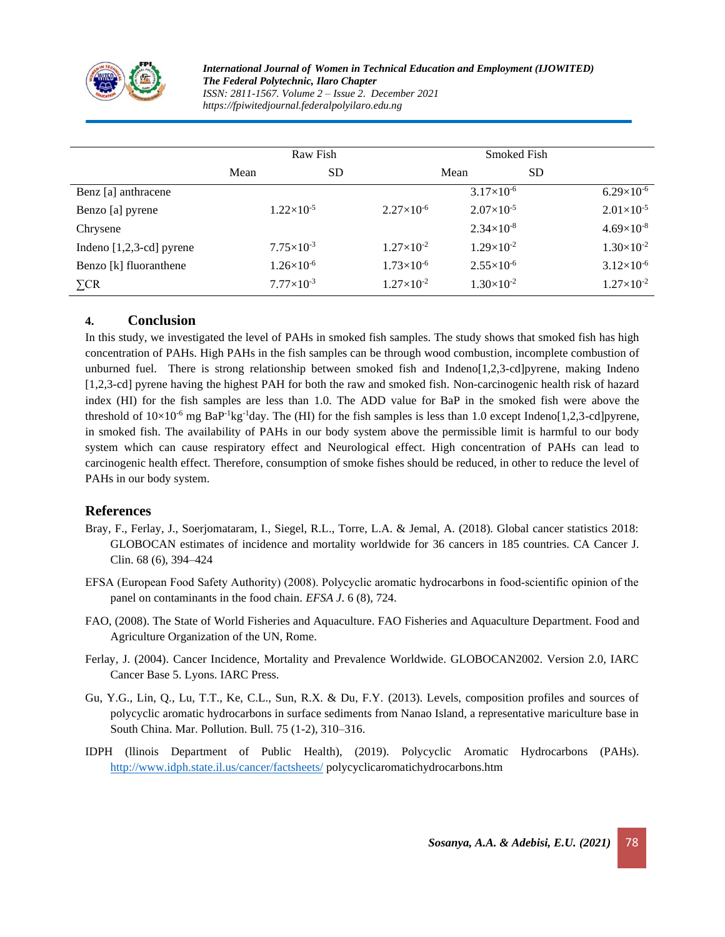

*International Journal of Women in Technical Education and Employment (IJOWITED) The Federal Polytechnic, Ilaro Chapter ISSN: 2811-1567. Volume 2 – Issue 2. December 2021 https://fpiwitedjournal.federalpolyilaro.edu.ng*

|                            | Raw Fish              |     |                     | Smoked Fish           |           |                     |
|----------------------------|-----------------------|-----|---------------------|-----------------------|-----------|---------------------|
|                            | Mean                  | SD. |                     | Mean                  | <b>SD</b> |                     |
| Benz [a] anthracene        |                       |     |                     | $3.17\times10^{-6}$   |           | $6.29\times10^{-6}$ |
| Benzo [a] pyrene           | $1.22\times10^{-5}$   |     | $2.27\times10^{-6}$ | $2.07\times10^{-5}$   |           | $2.01\times10^{-5}$ |
| Chrysene                   |                       |     |                     | $2.34\times10^{-8}$   |           | $4.69\times10^{-8}$ |
| Indeno $[1,2,3-cd]$ pyrene | $7.75 \times 10^{-3}$ |     | $1.27\times10^{-2}$ | $1.29\times10^{-2}$   |           | $1.30\times10^{-2}$ |
| Benzo [k] fluoranthene     | $1.26\times10^{-6}$   |     | $1.73\times10^{-6}$ | $2.55 \times 10^{-6}$ |           | $3.12\times10^{-6}$ |
| $\Sigma$ CR                | $7.77\times10^{-3}$   |     | $1.27\times10^{-2}$ | $1.30\times10^{-2}$   |           | $1.27\times10^{-2}$ |

#### **4. Conclusion**

In this study, we investigated the level of PAHs in smoked fish samples. The study shows that smoked fish has high concentration of PAHs. High PAHs in the fish samples can be through wood combustion, incomplete combustion of unburned fuel. There is strong relationship between smoked fish and Indeno[1,2,3-cd]pyrene, making Indeno [1,2,3-cd] pyrene having the highest PAH for both the raw and smoked fish. Non-carcinogenic health risk of hazard index (HI) for the fish samples are less than 1.0. The ADD value for BaP in the smoked fish were above the threshold of  $10\times10^{-6}$  mg BaP<sup>-1</sup>kg<sup>-1</sup>day. The (HI) for the fish samples is less than 1.0 except Indeno[1,2,3-cd]pyrene, in smoked fish. The availability of PAHs in our body system above the permissible limit is harmful to our body system which can cause respiratory effect and Neurological effect. High concentration of PAHs can lead to carcinogenic health effect. Therefore, consumption of smoke fishes should be reduced, in other to reduce the level of PAHs in our body system.

#### **References**

- Bray, F., Ferlay, J., Soerjomataram, I., Siegel, R.L., Torre, L.A. & Jemal, A. (2018). Global cancer statistics 2018: GLOBOCAN estimates of incidence and mortality worldwide for 36 cancers in 185 countries. CA Cancer J. Clin. 68 (6), 394–424
- EFSA (European Food Safety Authority) (2008). Polycyclic aromatic hydrocarbons in food‐scientific opinion of the panel on contaminants in the food chain. *EFSA J*. 6 (8), 724.
- FAO, (2008). The State of World Fisheries and Aquaculture. FAO Fisheries and Aquaculture Department. Food and Agriculture Organization of the UN, Rome.
- Ferlay, J. (2004). Cancer Incidence, Mortality and Prevalence Worldwide. GLOBOCAN2002. Version 2.0, IARC Cancer Base 5. Lyons. IARC Press.
- Gu, Y.G., Lin, Q., Lu, T.T., Ke, C.L., Sun, R.X. & Du, F.Y. (2013). Levels, composition profiles and sources of polycyclic aromatic hydrocarbons in surface sediments from Nanao Island, a representative mariculture base in South China. Mar. Pollution. Bull. 75 (1-2), 310–316.
- IDPH (llinois Department of Public Health), (2019). Polycyclic Aromatic Hydrocarbons (PAHs). <http://www.idph.state.il.us/cancer/factsheets/> polycyclicaromatichydrocarbons.htm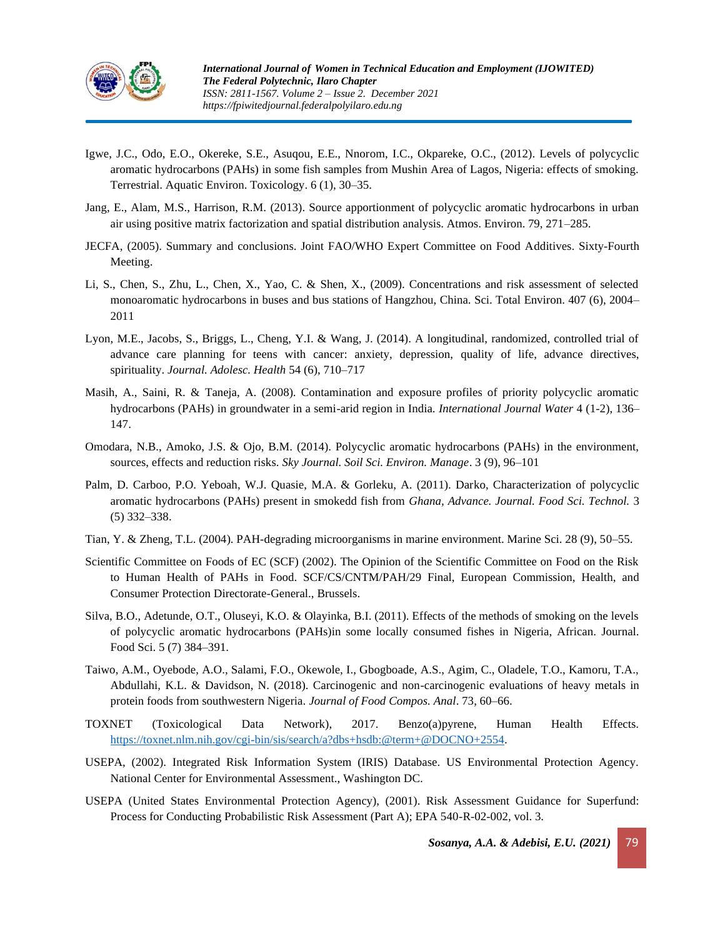

- Igwe, J.C., Odo, E.O., Okereke, S.E., Asuqou, E.E., Nnorom, I.C., Okpareke, O.C., (2012). Levels of polycyclic aromatic hydrocarbons (PAHs) in some fish samples from Mushin Area of Lagos, Nigeria: effects of smoking. Terrestrial. Aquatic Environ. Toxicology. 6 (1), 30–35.
- Jang, E., Alam, M.S., Harrison, R.M. (2013). Source apportionment of polycyclic aromatic hydrocarbons in urban air using positive matrix factorization and spatial distribution analysis. Atmos. Environ. 79, 271–285.
- JECFA, (2005). Summary and conclusions. Joint FAO/WHO Expert Committee on Food Additives. Sixty-Fourth Meeting.
- Li, S., Chen, S., Zhu, L., Chen, X., Yao, C. & Shen, X., (2009). Concentrations and risk assessment of selected monoaromatic hydrocarbons in buses and bus stations of Hangzhou, China. Sci. Total Environ. 407 (6), 2004– 2011
- Lyon, M.E., Jacobs, S., Briggs, L., Cheng, Y.I. & Wang, J. (2014). A longitudinal, randomized, controlled trial of advance care planning for teens with cancer: anxiety, depression, quality of life, advance directives, spirituality. *Journal. Adolesc. Health* 54 (6), 710–717
- Masih, A., Saini, R. & Taneja, A. (2008). Contamination and exposure profiles of priority polycyclic aromatic hydrocarbons (PAHs) in groundwater in a semi-arid region in India. *International Journal Water* 4 (1-2), 136– 147.
- Omodara, N.B., Amoko, J.S. & Ojo, B.M. (2014). Polycyclic aromatic hydrocarbons (PAHs) in the environment, sources, effects and reduction risks. *Sky Journal. Soil Sci. Environ. Manage*. 3 (9), 96–101
- Palm, D. Carboo, P.O. Yeboah, W.J. Quasie, M.A. & Gorleku, A. (2011). Darko, Characterization of polycyclic aromatic hydrocarbons (PAHs) present in smokedd fish from *Ghana, Advance. Journal. Food Sci. Technol.* 3 (5) 332–338.
- Tian, Y. & Zheng, T.L. (2004). PAH-degrading microorganisms in marine environment. Marine Sci. 28 (9), 50–55.
- Scientific Committee on Foods of EC (SCF) (2002). The Opinion of the Scientific Committee on Food on the Risk to Human Health of PAHs in Food. SCF/CS/CNTM/PAH/29 Final, European Commission, Health, and Consumer Protection Directorate-General., Brussels.
- Silva, B.O., Adetunde, O.T., Oluseyi, K.O. & Olayinka, B.I. (2011). Effects of the methods of smoking on the levels of polycyclic aromatic hydrocarbons (PAHs)in some locally consumed fishes in Nigeria, African. Journal. Food Sci. 5 (7) 384–391.
- Taiwo, A.M., Oyebode, A.O., Salami, F.O., Okewole, I., Gbogboade, A.S., Agim, C., Oladele, T.O., Kamoru, T.A., Abdullahi, K.L. & Davidson, N. (2018). Carcinogenic and non-carcinogenic evaluations of heavy metals in protein foods from southwestern Nigeria. *Journal of Food Compos. Anal*. 73, 60–66.
- TOXNET (Toxicological Data Network), 2017. Benzo(a)pyrene, Human Health Effects. [https://toxnet.nlm.nih.gov/cgi-bin/sis/search/a?dbs+hsdb:@term+@DOCNO+2554.](https://toxnet.nlm.nih.gov/cgi-bin/sis/search/a?dbs+hsdb:@term+@DOCNO+2554)
- USEPA, (2002). Integrated Risk Information System (IRIS) Database. US Environmental Protection Agency. National Center for Environmental Assessment., Washington DC.
- USEPA (United States Environmental Protection Agency), (2001). Risk Assessment Guidance for Superfund: Process for Conducting Probabilistic Risk Assessment (Part A); EPA 540-R-02-002, vol. 3.